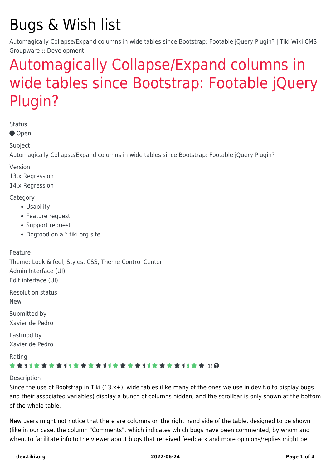# Bugs & Wish list

Automagically Collapse/Expand columns in wide tables since Bootstrap: Footable jQuery Plugin? | Tiki Wiki CMS Groupware :: Development

# [Automagically Collapse/Expand columns in](https://dev.tiki.org/item5587-Automagically-Collapse-Expand-columns-in-wide-tables-since-Bootstrap-Footable-jQuery-Plugin) [wide tables since Bootstrap: Footable jQuery](https://dev.tiki.org/item5587-Automagically-Collapse-Expand-columns-in-wide-tables-since-Bootstrap-Footable-jQuery-Plugin) [Plugin?](https://dev.tiki.org/item5587-Automagically-Collapse-Expand-columns-in-wide-tables-since-Bootstrap-Footable-jQuery-Plugin)

**Status** 

● Open

Subject

Automagically Collapse/Expand columns in wide tables since Bootstrap: Footable jQuery Plugin?

Version

13.x Regression

14.x Regression

**Category** 

- Usability
- Feature request
- Support request
- Dogfood on a \*.tiki.org site

Feature

Theme: Look & feel, Styles, CSS, Theme Control Center Admin Interface (UI) Edit interface (UI)

Resolution status

New

Submitted by Xavier de Pedro

Lastmod by Xavier de Pedro

Rating

### ★★11★★★★11★★★★11★★★★11★★★★11★★ (1) @

#### Description

Since the use of Bootstrap in Tiki (13.x+), wide tables (like many of the ones we use in dev.t.o to display bugs and their associated variables) display a bunch of columns hidden, and the scrollbar is only shown at the bottom of the whole table.

New users might not notice that there are columns on the right hand side of the table, designed to be shown (like in our case, the column "Comments", which indicates which bugs have been commented, by whom and when, to facilitate info to the viewer about bugs that received feedback and more opinions/replies might be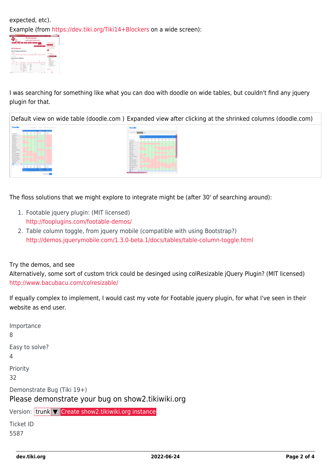expected, etc). Example (from<https://dev.tiki.org/Tiki14+Blockers> on a wide screen):



I was searching for something like what you can doo with doodle on wide tables, but couldn't find any jquery plugin for that.



The floss solutions that we might explore to integrate might be (after 30' of searching around):

- 1. Footable jquery plugin: (MIT licensed) <http://fooplugins.com/footable-demos/>
- 2. Table column toggle, from jquery mobile (compatible with using Bootstrap?) <http://demos.jquerymobile.com/1.3.0-beta.1/docs/tables/table-column-toggle.html>

#### Try the demos, and see

Alternatively, some sort of custom trick could be desinged using colResizable jQuery Plugin? (MIT licensed) <http://www.bacubacu.com/colresizable/>

If equally complex to implement, I would cast my vote for Footable jquery plugin, for what I've seen in their website as end user.

| Importance<br>8                                                                   |
|-----------------------------------------------------------------------------------|
| Easy to solve?<br>4                                                               |
| Priority<br>32                                                                    |
| Demonstrate Bug (Tiki 19+)<br>Please demonstrate your bug on show 2. tikiwiki.org |
| Version: trunk $\triangledown$ Create show2.tikiwiki.org instance                 |
| <b>Ticket ID</b><br>5587                                                          |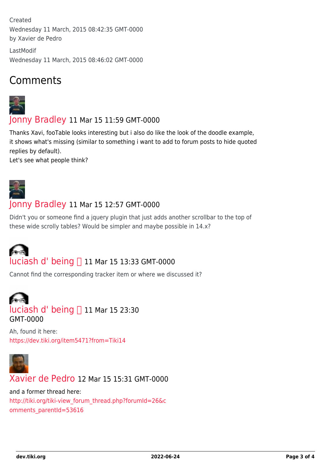Created Wednesday 11 March, 2015 08:42:35 GMT-0000 by Xavier de Pedro

LastModif Wednesday 11 March, 2015 08:46:02 GMT-0000

## Comments



[Jonny Bradley](https://dev.tiki.org/user8515) 11 Mar 15 11:59 GMT-0000

Thanks Xavi, fooTable looks interesting but i also do like the look of the doodle example, it shows what's missing (similar to something i want to add to forum posts to hide quoted replies by default).

Let's see what people think?



### [Jonny Bradley](https://dev.tiki.org/user8515) 11 Mar 15 12:57 GMT-0000

Didn't you or someone find a jquery plugin that just adds another scrollbar to the top of these wide scrolly tables? Would be simpler and maybe possible in 14.x?

# [luciash d' being](https://dev.tiki.org/user199)  11 Mar 15 13:33 GMT-0000

Cannot find the corresponding tracker item or where we discussed it?

# [luciash d' being](https://dev.tiki.org/user199) ∏ 11 Mar 15 23:30 GMT-0000

Ah, found it here: <https://dev.tiki.org/item5471?from=Tiki14>



[Xavier de Pedro](https://dev.tiki.org/user9794) 12 Mar 15 15:31 GMT-0000

and a former thread here: [http://tiki.org/tiki-view\\_forum\\_thread.php?forumId=26&c](http://tiki.org/tiki-view_forum_thread.php?forumId=26&comments_parentId=53616) [omments\\_parentId=53616](http://tiki.org/tiki-view_forum_thread.php?forumId=26&comments_parentId=53616)